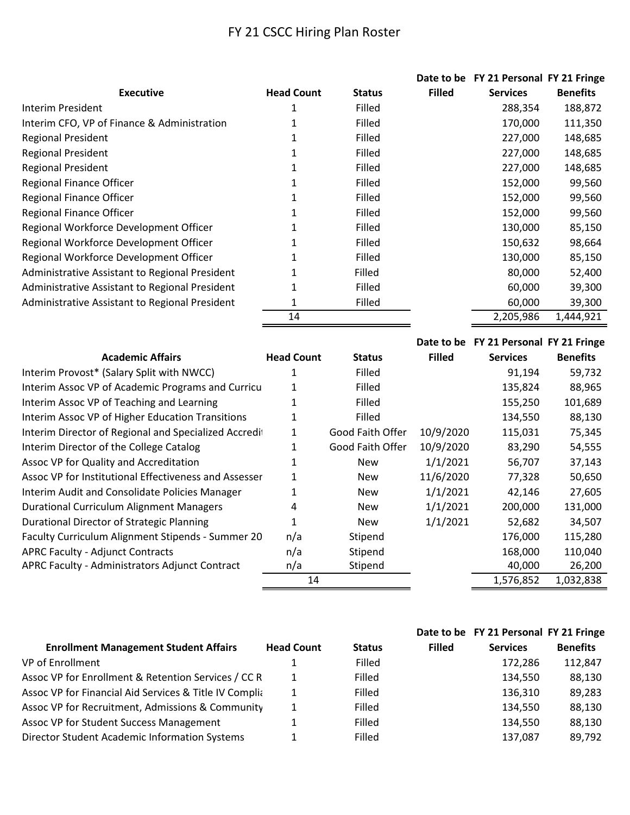## FY 21 CSCC Hiring Plan Roster

|                                                |                   |               |               | Date to be FY 21 Personal FY 21 Fringe |                 |
|------------------------------------------------|-------------------|---------------|---------------|----------------------------------------|-----------------|
| <b>Executive</b>                               | <b>Head Count</b> | <b>Status</b> | <b>Filled</b> | <b>Services</b>                        | <b>Benefits</b> |
| Interim President                              |                   | Filled        |               | 288,354                                | 188,872         |
| Interim CFO, VP of Finance & Administration    |                   | Filled        |               | 170,000                                | 111,350         |
| <b>Regional President</b>                      |                   | Filled        |               | 227,000                                | 148,685         |
| <b>Regional President</b>                      |                   | Filled        |               | 227,000                                | 148,685         |
| <b>Regional President</b>                      |                   | Filled        |               | 227,000                                | 148,685         |
| <b>Regional Finance Officer</b>                |                   | Filled        |               | 152,000                                | 99,560          |
| Regional Finance Officer                       |                   | Filled        |               | 152,000                                | 99,560          |
| <b>Regional Finance Officer</b>                |                   | Filled        |               | 152,000                                | 99,560          |
| Regional Workforce Development Officer         |                   | Filled        |               | 130,000                                | 85,150          |
| Regional Workforce Development Officer         |                   | Filled        |               | 150,632                                | 98,664          |
| Regional Workforce Development Officer         |                   | Filled        |               | 130,000                                | 85,150          |
| Administrative Assistant to Regional President |                   | Filled        |               | 80,000                                 | 52,400          |
| Administrative Assistant to Regional President |                   | Filled        |               | 60,000                                 | 39,300          |
| Administrative Assistant to Regional President |                   | Filled        |               | 60,000                                 | 39,300          |
|                                                | 14                |               |               | 2,205,986                              | 1,444,921       |

|                                                       |                   |                  |               | Date to be FY 21 Personal FY 21 Fringe |                 |
|-------------------------------------------------------|-------------------|------------------|---------------|----------------------------------------|-----------------|
| <b>Academic Affairs</b>                               | <b>Head Count</b> | <b>Status</b>    | <b>Filled</b> | <b>Services</b>                        | <b>Benefits</b> |
| Interim Provost* (Salary Split with NWCC)             | 1                 | Filled           |               | 91,194                                 | 59,732          |
| Interim Assoc VP of Academic Programs and Curricu     |                   | Filled           |               | 135,824                                | 88,965          |
| Interim Assoc VP of Teaching and Learning             |                   | Filled           |               | 155,250                                | 101,689         |
| Interim Assoc VP of Higher Education Transitions      | 1                 | Filled           |               | 134,550                                | 88,130          |
| Interim Director of Regional and Specialized Accredit | $\mathbf{1}$      | Good Faith Offer | 10/9/2020     | 115,031                                | 75,345          |
| Interim Director of the College Catalog               |                   | Good Faith Offer | 10/9/2020     | 83,290                                 | 54,555          |
| Assoc VP for Quality and Accreditation                |                   | <b>New</b>       | 1/1/2021      | 56,707                                 | 37,143          |
| Assoc VP for Institutional Effectiveness and Assesser | 1                 | <b>New</b>       | 11/6/2020     | 77,328                                 | 50,650          |
| Interim Audit and Consolidate Policies Manager        | 1                 | <b>New</b>       | 1/1/2021      | 42,146                                 | 27,605          |
| <b>Durational Curriculum Alignment Managers</b>       | 4                 | <b>New</b>       | 1/1/2021      | 200,000                                | 131,000         |
| Durational Director of Strategic Planning             |                   | New              | 1/1/2021      | 52,682                                 | 34,507          |
| Faculty Curriculum Alignment Stipends - Summer 20     | n/a               | Stipend          |               | 176,000                                | 115,280         |
| <b>APRC Faculty - Adjunct Contracts</b>               | n/a               | Stipend          |               | 168,000                                | 110,040         |
| APRC Faculty - Administrators Adjunct Contract        | n/a               | Stipend          |               | 40,000                                 | 26,200          |
|                                                       | 14                |                  |               | 1,576,852                              | 1,032,838       |

|                                                        |                   |               |               | Date to be FY 21 Personal FY 21 Fringe |                 |
|--------------------------------------------------------|-------------------|---------------|---------------|----------------------------------------|-----------------|
| <b>Enrollment Management Student Affairs</b>           | <b>Head Count</b> | <b>Status</b> | <b>Filled</b> | <b>Services</b>                        | <b>Benefits</b> |
| VP of Enrollment                                       |                   | Filled        |               | 172.286                                | 112,847         |
| Assoc VP for Enrollment & Retention Services / CC R    | 1                 | Filled        |               | 134.550                                | 88,130          |
| Assoc VP for Financial Aid Services & Title IV Complia | $\mathbf{1}$      | Filled        |               | 136,310                                | 89,283          |
| Assoc VP for Recruitment, Admissions & Community       | 1                 | Filled        |               | 134,550                                | 88,130          |
| Assoc VP for Student Success Management                |                   | Filled        |               | 134,550                                | 88,130          |
| Director Student Academic Information Systems          |                   | Filled        |               | 137,087                                | 89,792          |